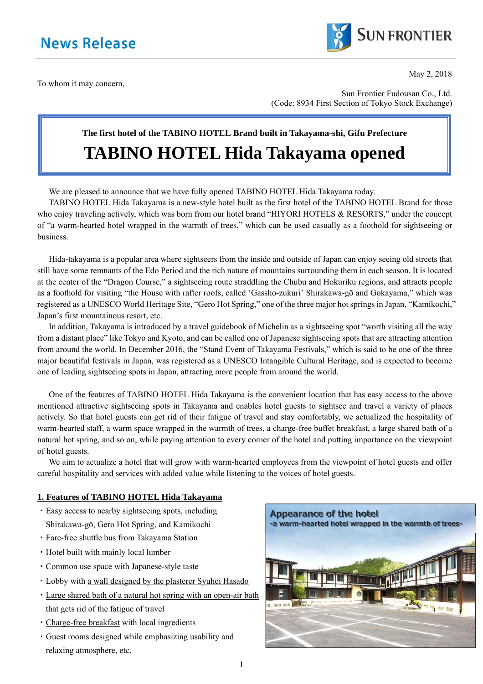

To whom it may concern,

May 2, 2018

Sun Frontier Fudousan Co., Ltd. (Code: 8934 First Section of Tokyo Stock Exchange)

# **The first hotel of the TABINO HOTEL Brand built in Takayama-shi, Gifu Prefecture TABINO HOTEL Hida Takayama opened**

We are pleased to announce that we have fully opened TABINO HOTEL Hida Takayama today.

TABINO HOTEL Hida Takayama is a new-style hotel built as the first hotel of the TABINO HOTEL Brand for those who enjoy traveling actively, which was born from our hotel brand "HIYORI HOTELS & RESORTS," under the concept of "a warm-hearted hotel wrapped in the warmth of trees," which can be used casually as a foothold for sightseeing or business.

Hida-takayama is a popular area where sightseers from the inside and outside of Japan can enjoy seeing old streets that still have some remnants of the Edo Period and the rich nature of mountains surrounding them in each season. It is located at the center of the "Dragon Course," a sightseeing route straddling the Chubu and Hokuriku regions, and attracts people as a foothold for visiting "the House with rafter roofs, called 'Gassho-zukuri' Shirakawa-gō and Gokayama," which was registered as a UNESCO World Heritage Site, "Gero Hot Spring," one of the three major hot springs in Japan, "Kamikochi," Japan's first mountainous resort, etc.

In addition, Takayama is introduced by a travel guidebook of Michelin as a sightseeing spot "worth visiting all the way from a distant place" like Tokyo and Kyoto, and can be called one of Japanese sightseeing spots that are attracting attention from around the world. In December 2016, the "Stand Event of Takayama Festivals," which is said to be one of the three major beautiful festivals in Japan, was registered as a UNESCO Intangible Cultural Heritage, and is expected to become one of leading sightseeing spots in Japan, attracting more people from around the world.

One of the features of TABINO HOTEL Hida Takayama is the convenient location that has easy access to the above mentioned attractive sightseeing spots in Takayama and enables hotel guests to sightsee and travel a variety of places actively. So that hotel guests can get rid of their fatigue of travel and stay comfortably, we actualized the hospitality of warm-hearted staff, a warm space wrapped in the warmth of trees, a charge-free buffet breakfast, a large shared bath of a natural hot spring, and so on, while paying attention to every corner of the hotel and putting importance on the viewpoint of hotel guests.

We aim to actualize a hotel that will grow with warm-hearted employees from the viewpoint of hotel guests and offer careful hospitality and services with added value while listening to the voices of hotel guests.

### **1. Features of TABINO HOTEL Hida Takayama**

- ・Easy access to nearby sightseeing spots, including Shirakawa-gō, Gero Hot Spring, and Kamikochi
- ・Fare-free shuttle bus from Takayama Station
- ・Hotel built with mainly local lumber
- ・Common use space with Japanese-style taste
- ・Lobby with a wall designed by the plasterer Syuhei Hasado
- ・Large shared bath of a natural hot spring with an open-air bath that gets rid of the fatigue of travel
- ・Charge-free breakfast with local ingredients
- ・Guest rooms designed while emphasizing usability and relaxing atmosphere, etc.

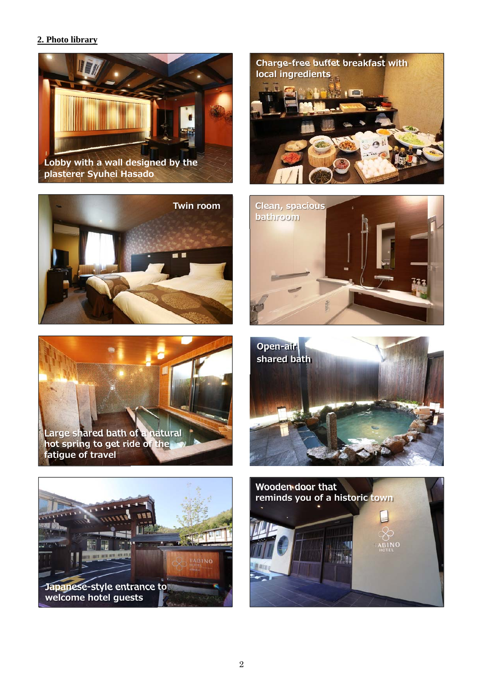## **2. Photo library**



**plasterer Syuhei Hasado**